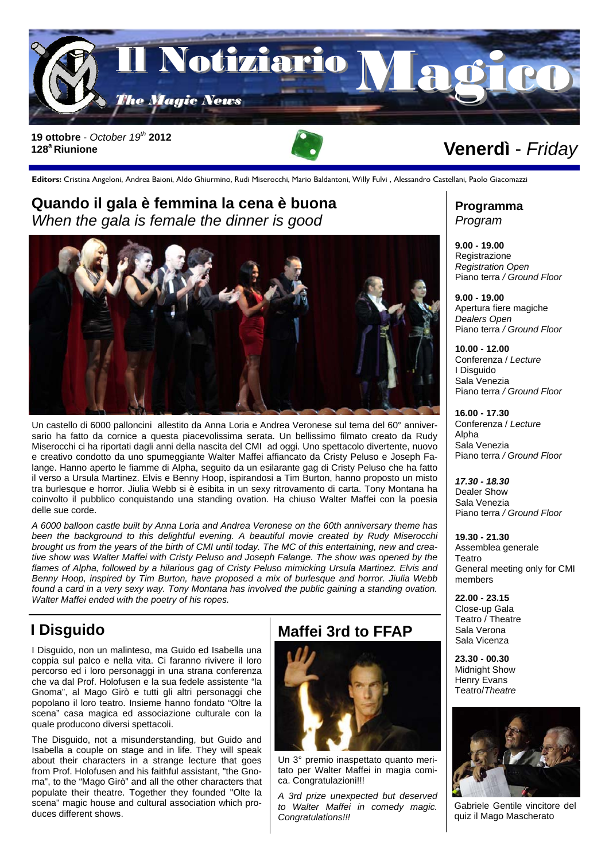

**Editors:** Cristina Angeloni, Andrea Baioni, Aldo Ghiurmino, Rudi Miserocchi, Mario Baldantoni, Willy Fulvi , Alessandro Castellani, Paolo Giacomazzi

#### **Quando il gala è femmina la cena è buona**  *When the gala is female the dinner is good*



Un castello di 6000 palloncini allestito da Anna Loria e Andrea Veronese sul tema del 60° anniversario ha fatto da cornice a questa piacevolissima serata. Un bellissimo filmato creato da Rudy Miserocchi ci ha riportati dagli anni della nascita del CMI ad oggi. Uno spettacolo divertente, nuovo e creativo condotto da uno spumeggiante Walter Maffei affiancato da Cristy Peluso e Joseph Falange. Hanno aperto le fiamme di Alpha, seguito da un esilarante gag di Cristy Peluso che ha fatto il verso a Ursula Martinez. Elvis e Benny Hoop, ispirandosi a Tim Burton, hanno proposto un misto tra burlesque e horror. Jiulia Webb si è esibita in un sexy ritrovamento di carta. Tony Montana ha coinvolto il pubblico conquistando una standing ovation. Ha chiuso Walter Maffei con la poesia delle sue corde.

*A 6000 balloon castle built by Anna Loria and Andrea Veronese on the 60th anniversary theme has been the background to this delightful evening. A beautiful movie created by Rudy Miserocchi brought us from the years of the birth of CMI until today. The MC of this entertaining, new and creative show was Walter Maffei with Cristy Peluso and Joseph Falange. The show was opened by the*  flames of Alpha, followed by a hilarious gag of Cristy Peluso mimicking Ursula Martinez. Elvis and *Benny Hoop, inspired by Tim Burton, have proposed a mix of burlesque and horror. Jiulia Webb found a card in a very sexy way. Tony Montana has involved the public gaining a standing ovation. Walter Maffei ended with the poetry of his ropes.* 

# **I Disguido**

I Disguido, non un malinteso, ma Guido ed Isabella una coppia sul palco e nella vita. Ci faranno rivivere il loro percorso ed i loro personaggi in una strana conferenza che va dal Prof. Holofusen e la sua fedele assistente "la Gnoma", al Mago Girò e tutti gli altri personaggi che popolano il loro teatro. Insieme hanno fondato "Oltre la scena" casa magica ed associazione culturale con la quale producono diversi spettacoli.

The Disguido, not a misunderstanding, but Guido and Isabella a couple on stage and in life. They will speak about their characters in a strange lecture that goes from Prof. Holofusen and his faithful assistant, "the Gnoma", to the "Mago Girò" and all the other characters that populate their theatre. Together they founded "Olte la scena" magic house and cultural association which produces different shows.

### **Maffei 3rd to FFAP**



Un 3° premio inaspettato quanto meritato per Walter Maffei in magia comica. Congratulazioni!!!

*A 3rd prize unexpected but deserved to Walter Maffei in comedy magic. Congratulations!!!* 

#### **Programma**  *Program*

**9.00 - 19.00**  Registrazione *Registration Open*  Piano terra */ Ground Floor* 

**9.00 - 19.00**  Apertura fiere magiche *Dealers Open*  Piano terra */ Ground Floor* 

**10.00 - 12.00**  Conferenza / *Lecture* I Disguido Sala Venezia Piano terra */ Ground Floor* 

**16.00 - 17.30**  Conferenza / *Lecture* Alpha Sala Venezia Piano terra */ Ground Floor* 

*17.30 - 18.30*  Dealer Show Sala Venezia Piano terra */ Ground Floor* 

**19.30 - 21.30**  Assemblea generale Teatro General meeting only for CMI members

**22.00 - 23.15**  Close-up Gala Teatro / Theatre Sala Verona Sala Vicenza

**23.30 - 00.30**  Midnight Show Henry Evans Teatro/*Theatre* 



Gabriele Gentile vincitore del quiz il Mago Mascherato